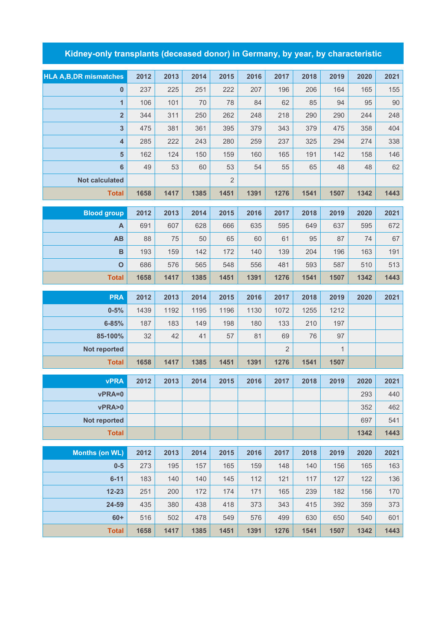## **Kidney-only transplants (deceased donor) in Germany, by year, by characteristic**

| <b>HLA A, B, DR mismatches</b> | 2012 | 2013 | 2014 | 2015           | 2016 | 2017           | 2018 | 2019         | 2020 | 2021 |
|--------------------------------|------|------|------|----------------|------|----------------|------|--------------|------|------|
| $\pmb{0}$                      | 237  | 225  | 251  | 222            | 207  | 196            | 206  | 164          | 165  | 155  |
| $\mathbf{1}$                   | 106  | 101  | 70   | 78             | 84   | 62             | 85   | 94           | 95   | 90   |
| $\overline{\mathbf{2}}$        | 344  | 311  | 250  | 262            | 248  | 218            | 290  | 290          | 244  | 248  |
| $\overline{\mathbf{3}}$        | 475  | 381  | 361  | 395            | 379  | 343            | 379  | 475          | 358  | 404  |
| $\overline{\mathbf{4}}$        | 285  | 222  | 243  | 280            | 259  | 237            | 325  | 294          | 274  | 338  |
| 5                              | 162  | 124  | 150  | 159            | 160  | 165            | 191  | 142          | 158  | 146  |
| $\bf 6$                        | 49   | 53   | 60   | 53             | 54   | 55             | 65   | 48           | 48   | 62   |
| <b>Not calculated</b>          |      |      |      | $\overline{2}$ |      |                |      |              |      |      |
| <b>Total</b>                   | 1658 | 1417 | 1385 | 1451           | 1391 | 1276           | 1541 | 1507         | 1342 | 1443 |
|                                |      |      |      |                |      |                |      |              |      |      |
| <b>Blood group</b>             | 2012 | 2013 | 2014 | 2015           | 2016 | 2017           | 2018 | 2019         | 2020 | 2021 |
| A                              | 691  | 607  | 628  | 666            | 635  | 595            | 649  | 637          | 595  | 672  |
| AB                             | 88   | 75   | 50   | 65             | 60   | 61             | 95   | 87           | 74   | 67   |
| $\, {\bf B}$                   | 193  | 159  | 142  | 172            | 140  | 139            | 204  | 196          | 163  | 191  |
| $\mathbf{o}$                   | 686  | 576  | 565  | 548            | 556  | 481            | 593  | 587          | 510  | 513  |
| <b>Total</b>                   | 1658 | 1417 | 1385 | 1451           | 1391 | 1276           | 1541 | 1507         | 1342 | 1443 |
| <b>PRA</b>                     | 2012 | 2013 | 2014 | 2015           | 2016 | 2017           | 2018 | 2019         | 2020 | 2021 |
| $0 - 5%$                       | 1439 | 1192 | 1195 | 1196           | 1130 | 1072           | 1255 | 1212         |      |      |
| $6 - 85%$                      | 187  | 183  | 149  | 198            | 180  | 133            | 210  | 197          |      |      |
| 85-100%                        | 32   | 42   | 41   | 57             | 81   | 69             | 76   | 97           |      |      |
| Not reported                   |      |      |      |                |      | $\overline{2}$ |      | $\mathbf{1}$ |      |      |
| <b>Total</b>                   | 1658 | 1417 | 1385 | 1451           | 1391 | 1276           | 1541 | 1507         |      |      |
|                                |      |      |      |                |      |                |      |              |      |      |
| <b>vPRA</b>                    | 2012 | 2013 | 2014 | 2015           | 2016 | 2017           | 2018 | 2019         | 2020 | 2021 |
| vPRA=0                         |      |      |      |                |      |                |      |              | 293  | 440  |
| vPRA>0                         |      |      |      |                |      |                |      |              | 352  | 462  |
| <b>Not reported</b>            |      |      |      |                |      |                |      |              | 697  | 541  |
| <b>Total</b>                   |      |      |      |                |      |                |      |              | 1342 | 1443 |
| <b>Months (on WL)</b>          | 2012 | 2013 | 2014 | 2015           | 2016 | 2017           | 2018 | 2019         | 2020 | 2021 |
| $0-5$                          | 273  | 195  | 157  | 165            | 159  | 148            | 140  | 156          | 165  | 163  |
| $6 - 11$                       | 183  | 140  | 140  | 145            | 112  | 121            | 117  | 127          | 122  | 136  |
| $12 - 23$                      | 251  | 200  | 172  | 174            | 171  | 165            | 239  | 182          | 156  | 170  |
| 24-59                          | 435  | 380  | 438  | 418            | 373  | 343            | 415  | 392          | 359  | 373  |
| $60+$                          | 516  | 502  | 478  | 549            | 576  | 499            | 630  | 650          | 540  | 601  |

**Total 1658 1417 1385 1451 1391 1276 1541 1507 1342 1443**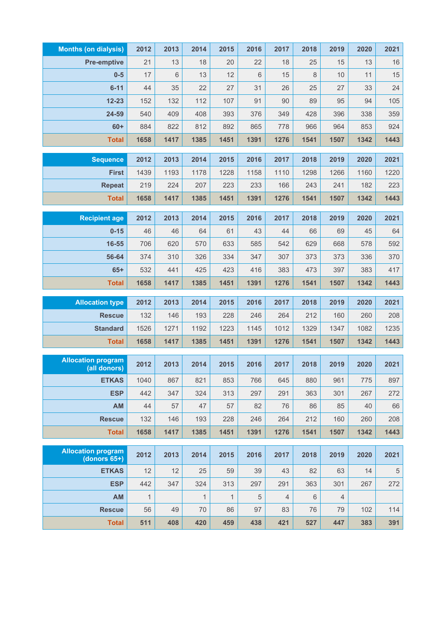| <b>Months (on dialysis)</b> | 2012         | 2013 | 2014               | 2015               | 2016             | 2017           | 2018    | 2019           | 2020 | 2021 |
|-----------------------------|--------------|------|--------------------|--------------------|------------------|----------------|---------|----------------|------|------|
| <b>Pre-emptive</b>          | 21           | 13   | 18                 | 20                 | 22               | 18             | 25      | 15             | 13   | $16$ |
| $0-5$                       | 17           | 6    | 13                 | 12                 | 6                | 15             | $\,8\,$ | 10             | 11   | 15   |
| $6 - 11$                    | 44           | 35   | 22                 | 27                 | 31               | 26             | 25      | 27             | 33   | 24   |
| $12 - 23$                   | 152          | 132  | 112                | 107                | 91               | 90             | 89      | 95             | 94   | 105  |
| 24-59                       | 540          | 409  | 408                | 393                | 376              | 349            | 428     | 396            | 338  | 359  |
| $60+$                       | 884          | 822  | 812                | 892                | 865              | 778            | 966     | 964            | 853  | 924  |
| <b>Total</b>                | 1658         | 1417 | 1385               | 1451               | 1391             | 1276           | 1541    | 1507           | 1342 | 1443 |
| <b>Sequence</b>             | 2012         | 2013 | 2014               | 2015               | 2016             | 2017           | 2018    | 2019           | 2020 | 2021 |
| <b>First</b>                | 1439         | 1193 | 1178               | 1228               | 1158             | 1110           | 1298    | 1266           | 1160 | 1220 |
| <b>Repeat</b>               | 219          | 224  | 207                | 223                | 233              | 166            | 243     | 241            | 182  | 223  |
| <b>Total</b>                | 1658         | 1417 | 1385               | 1451               | 1391             | 1276           | 1541    | 1507           | 1342 | 1443 |
|                             |              |      |                    |                    |                  |                |         |                |      |      |
| <b>Recipient age</b>        | 2012         | 2013 | 2014               | 2015               | 2016             | 2017           | 2018    | 2019           | 2020 | 2021 |
| $0 - 15$                    | 46           | 46   | 64                 | 61                 | 43               | 44             | 66      | 69             | 45   | 64   |
| 16-55                       | 706          | 620  | 570                | 633                | 585              | 542            | 629     | 668            | 578  | 592  |
| 56-64                       | 374          | 310  | 326                | 334                | 347              | 307            | 373     | 373            | 336  | 370  |
| $65+$                       | 532          | 441  | 425                | 423                | 416              | 383            | 473     | 397            | 383  | 417  |
| <b>Total</b>                | 1658         | 1417 | 1385               | 1451               | 1391             | 1276           | 1541    | 1507           | 1342 | 1443 |
| <b>Allocation type</b>      | 2012         | 2013 | 2014               | 2015               | 2016             | 2017           | 2018    | 2019           | 2020 | 2021 |
| <b>Rescue</b>               | 132          | 146  | 193                | 228                | 246              | 264            | 212     | 160            | 260  | 208  |
| <b>Standard</b>             | 1526         | 1271 | 1192               | 1223               | 1145             | 1012           | 1329    | 1347           | 1082 | 1235 |
| <b>Total</b>                | 1658         | 1417 | 1385               | 1451               | 1391             | 1276           | 1541    | 1507           | 1342 | 1443 |
| <b>Allocation program</b>   |              |      |                    |                    |                  |                |         |                |      |      |
| (all donors)                | 2012         | 2013 | 2014               | 2015               | 2016             | 2017           | 2018    | 2019           | 2020 | 2021 |
| <b>ETKAS</b>                | 1040         | 867  | 821                | 853                | 766              | 645            | 880     | 961            | 775  | 897  |
| <b>ESP</b>                  | 442          | 347  | 324                | 313                | 297              | 291            | 363     | 301            | 267  | 272  |
| <b>AM</b>                   | 44           | 57   | 47                 | 57                 | 82               | 76             | 86      | 85             | 40   | 66   |
| <b>Rescue</b>               | 132          | 146  | 193                | 228                | 246              | 264            | 212     | 160            | 260  | 208  |
| <b>Total</b>                | 1658         | 1417 | 1385               | 1451               | 1391             | 1276           | 1541    | 1507           | 1342 | 1443 |
| <b>Allocation program</b>   | 2012         | 2013 | 2014               | 2015               | 2016             | 2017           | 2018    | 2019           | 2020 | 2021 |
| (donors $65+$ )             |              |      |                    |                    |                  |                |         |                |      |      |
| <b>ETKAS</b>                | 12           | 12   | 25                 | 59                 | 39               | 43             | 82      | 63             | 14   | 5    |
| <b>ESP</b>                  | 442          | 347  | 324                | 313                | 297              | 291            | 363     | 301            | 267  | 272  |
| AM                          | $\mathbf{1}$ | 49   | $\mathbf{1}$<br>70 | $\mathbf{1}$<br>86 | $\sqrt{5}$<br>97 | $\overline{4}$ | 6       | $\overline{4}$ |      | 114  |
| <b>Rescue</b>               | 56           |      |                    |                    |                  | 83             | 76      | 79             | 102  |      |
| <b>Total</b>                | 511          | 408  | 420                | 459                | 438              | 421            | 527     | 447            | 383  | 391  |